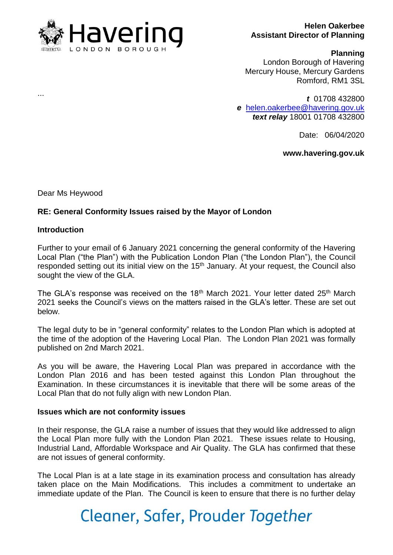

### **Helen Oakerbee Assistant Director of Planning**

#### **Planning**

London Borough of Havering Mercury House, Mercury Gardens Romford, RM1 3SL

*t* 01708 432800 *e* [helen.oakerbee@havering.gov.uk](mailto:helen.oakerbee@havering.gov.uk) *text relay* 18001 01708 432800

Date: 06/04/2020

## **www.havering.gov.uk**

Dear Ms Heywood

## **RE: General Conformity Issues raised by the Mayor of London**

### **Introduction**

Further to your email of 6 January 2021 concerning the general conformity of the Havering Local Plan ("the Plan") with the Publication London Plan ("the London Plan"), the Council responded setting out its initial view on the 15<sup>th</sup> January. At your request, the Council also sought the view of the GLA.

The GLA's response was received on the 18<sup>th</sup> March 2021. Your letter dated 25<sup>th</sup> March 2021 seeks the Council's views on the matters raised in the GLA's letter. These are set out below.

The legal duty to be in "general conformity" relates to the London Plan which is adopted at the time of the adoption of the Havering Local Plan. The London Plan 2021 was formally published on 2nd March 2021.

As you will be aware, the Havering Local Plan was prepared in accordance with the London Plan 2016 and has been tested against this London Plan throughout the Examination. In these circumstances it is inevitable that there will be some areas of the Local Plan that do not fully align with new London Plan.

#### **Issues which are not conformity issues**

In their response, the GLA raise a number of issues that they would like addressed to align the Local Plan more fully with the London Plan 2021. These issues relate to Housing, Industrial Land, Affordable Workspace and Air Quality. The GLA has confirmed that these are not issues of general conformity.

The Local Plan is at a late stage in its examination process and consultation has already taken place on the Main Modifications. This includes a commitment to undertake an immediate update of the Plan. The Council is keen to ensure that there is no further delay

# Cleaner, Safer, Prouder Together

...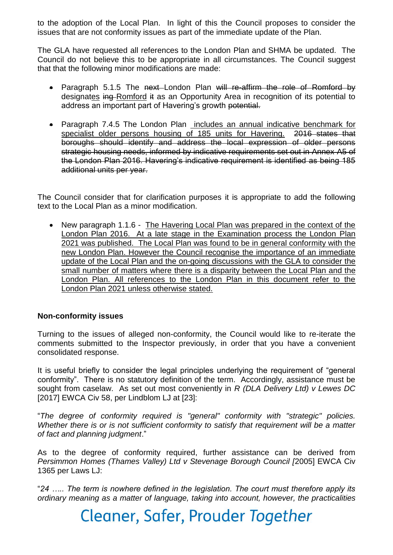to the adoption of the Local Plan. In light of this the Council proposes to consider the issues that are not conformity issues as part of the immediate update of the Plan.

The GLA have requested all references to the London Plan and SHMA be updated. The Council do not believe this to be appropriate in all circumstances. The Council suggest that that the following minor modifications are made:

- Paragraph 5.1.5 The next-London Plan will re-affirm the role of Romford by designates ing Romford it as an Opportunity Area in recognition of its potential to address an important part of Havering's growth potential.
- Paragraph 7.4.5 The London Plan includes an annual indicative benchmark for specialist older persons housing of 185 units for Havering. 2016 states that boroughs should identify and address the local expression of older persons strategic housing needs, informed by indicative requirements set out in Annex A5 of the London Plan 2016. Havering's indicative requirement is identified as being 185 additional units per year.

The Council consider that for clarification purposes it is appropriate to add the following text to the Local Plan as a minor modification.

• New paragraph 1.1.6 - The Havering Local Plan was prepared in the context of the London Plan 2016. At a late stage in the Examination process the London Plan 2021 was published. The Local Plan was found to be in general conformity with the new London Plan. However the Council recognise the importance of an immediate update of the Local Plan and the on-going discussions with the GLA to consider the small number of matters where there is a disparity between the Local Plan and the London Plan. All references to the London Plan in this document refer to the London Plan 2021 unless otherwise stated.

# **Non-conformity issues**

Turning to the issues of alleged non-conformity, the Council would like to re-iterate the comments submitted to the Inspector previously, in order that you have a convenient consolidated response.

It is useful briefly to consider the legal principles underlying the requirement of "general conformity". There is no statutory definition of the term. Accordingly, assistance must be sought from caselaw. As set out most conveniently in *R (DLA Delivery Ltd) v Lewes DC* [2017] EWCA Civ 58, per Lindblom LJ at [23]:

"*The degree of conformity required is "general" conformity with "strategic" policies. Whether there is or is not sufficient conformity to satisfy that requirement will be a matter of fact and planning judgment*."

As to the degree of conformity required, further assistance can be derived from *Persimmon Homes (Thames Valley) Ltd v Stevenage Borough Council [*2005] EWCA Civ 1365 per Laws LJ:

"*24 ….. The term is nowhere defined in the legislation. The court must therefore apply its ordinary meaning as a matter of language, taking into account, however, the practicalities*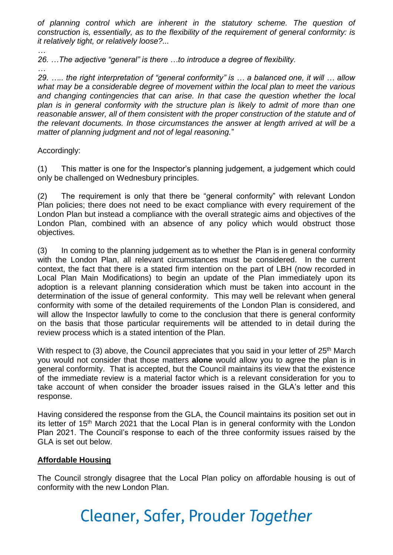*of planning control which are inherent in the statutory scheme. The question of construction is, essentially, as to the flexibility of the requirement of general conformity: is it relatively tight, or relatively loose?...*

*… 26. …The adjective "general" is there …to introduce a degree of flexibility.*

*…*

*29. ….. the right interpretation of "general conformity" is … a balanced one, it will … allow what may be a considerable degree of movement within the local plan to meet the various and changing contingencies that can arise. In that case the question whether the local plan is in general conformity with the structure plan is likely to admit of more than one reasonable answer, all of them consistent with the proper construction of the statute and of the relevant documents. In those circumstances the answer at length arrived at will be a matter of planning judgment and not of legal reasoning.*"

Accordingly:

(1) This matter is one for the Inspector's planning judgement, a judgement which could only be challenged on Wednesbury principles.

(2) The requirement is only that there be "general conformity" with relevant London Plan policies; there does not need to be exact compliance with every requirement of the London Plan but instead a compliance with the overall strategic aims and objectives of the London Plan, combined with an absence of any policy which would obstruct those objectives.

(3) In coming to the planning judgement as to whether the Plan is in general conformity with the London Plan, all relevant circumstances must be considered. In the current context, the fact that there is a stated firm intention on the part of LBH (now recorded in Local Plan Main Modifications) to begin an update of the Plan immediately upon its adoption is a relevant planning consideration which must be taken into account in the determination of the issue of general conformity. This may well be relevant when general conformity with some of the detailed requirements of the London Plan is considered, and will allow the Inspector lawfully to come to the conclusion that there is general conformity on the basis that those particular requirements will be attended to in detail during the review process which is a stated intention of the Plan.

With respect to (3) above, the Council appreciates that you said in your letter of 25<sup>th</sup> March you would not consider that those matters **alone** would allow you to agree the plan is in general conformity. That is accepted, but the Council maintains its view that the existence of the immediate review is a material factor which is a relevant consideration for you to take account of when consider the broader issues raised in the GLA's letter and this response.

Having considered the response from the GLA, the Council maintains its position set out in its letter of 15<sup>th</sup> March 2021 that the Local Plan is in general conformity with the London Plan 2021. The Council's response to each of the three conformity issues raised by the GLA is set out below.

# **Affordable Housing**

The Council strongly disagree that the Local Plan policy on affordable housing is out of conformity with the new London Plan.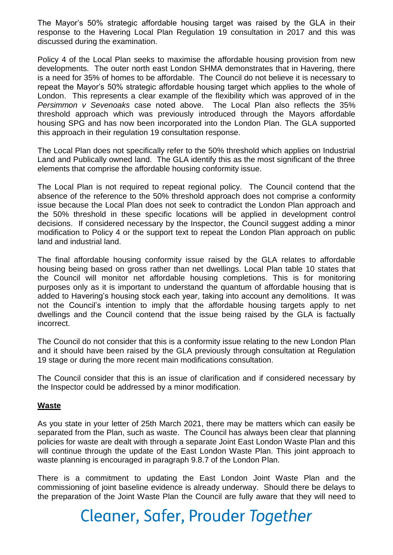The Mayor's 50% strategic affordable housing target was raised by the GLA in their response to the Havering Local Plan Regulation 19 consultation in 2017 and this was discussed during the examination.

Policy 4 of the Local Plan seeks to maximise the affordable housing provision from new developments. The outer north east London SHMA demonstrates that in Havering, there is a need for 35% of homes to be affordable. The Council do not believe it is necessary to repeat the Mayor's 50% strategic affordable housing target which applies to the whole of London. This represents a clear example of the flexibility which was approved of in the *Persimmon v Sevenoaks* case noted above. The Local Plan also reflects the 35% threshold approach which was previously introduced through the Mayors affordable housing SPG and has now been incorporated into the London Plan. The GLA supported this approach in their regulation 19 consultation response.

The Local Plan does not specifically refer to the 50% threshold which applies on Industrial Land and Publically owned land. The GLA identify this as the most significant of the three elements that comprise the affordable housing conformity issue.

The Local Plan is not required to repeat regional policy. The Council contend that the absence of the reference to the 50% threshold approach does not comprise a conformity issue because the Local Plan does not seek to contradict the London Plan approach and the 50% threshold in these specific locations will be applied in development control decisions. If considered necessary by the Inspector, the Council suggest adding a minor modification to Policy 4 or the support text to repeat the London Plan approach on public land and industrial land.

The final affordable housing conformity issue raised by the GLA relates to affordable housing being based on gross rather than net dwellings. Local Plan table 10 states that the Council will monitor net affordable housing completions. This is for monitoring purposes only as it is important to understand the quantum of affordable housing that is added to Havering's housing stock each year, taking into account any demolitions. It was not the Council's intention to imply that the affordable housing targets apply to net dwellings and the Council contend that the issue being raised by the GLA is factually incorrect.

The Council do not consider that this is a conformity issue relating to the new London Plan and it should have been raised by the GLA previously through consultation at Regulation 19 stage or during the more recent main modifications consultation.

The Council consider that this is an issue of clarification and if considered necessary by the Inspector could be addressed by a minor modification.

## **Waste**

As you state in your letter of 25th March 2021, there may be matters which can easily be separated from the Plan, such as waste. The Council has always been clear that planning policies for waste are dealt with through a separate Joint East London Waste Plan and this will continue through the update of the East London Waste Plan. This joint approach to waste planning is encouraged in paragraph 9.8.7 of the London Plan.

There is a commitment to updating the East London Joint Waste Plan and the commissioning of joint baseline evidence is already underway. Should there be delays to the preparation of the Joint Waste Plan the Council are fully aware that they will need to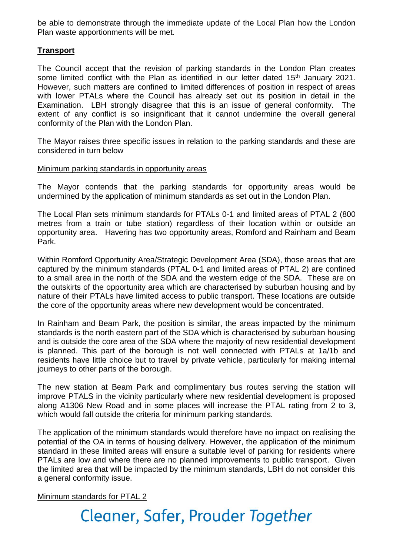be able to demonstrate through the immediate update of the Local Plan how the London Plan waste apportionments will be met.

# **Transport**

The Council accept that the revision of parking standards in the London Plan creates some limited conflict with the Plan as identified in our letter dated 15<sup>th</sup> January 2021. However, such matters are confined to limited differences of position in respect of areas with lower PTALs where the Council has already set out its position in detail in the Examination. LBH strongly disagree that this is an issue of general conformity. The extent of any conflict is so insignificant that it cannot undermine the overall general conformity of the Plan with the London Plan.

The Mayor raises three specific issues in relation to the parking standards and these are considered in turn below

#### Minimum parking standards in opportunity areas

The Mayor contends that the parking standards for opportunity areas would be undermined by the application of minimum standards as set out in the London Plan.

The Local Plan sets minimum standards for PTALs 0-1 and limited areas of PTAL 2 (800 metres from a train or tube station) regardless of their location within or outside an opportunity area. Havering has two opportunity areas, Romford and Rainham and Beam Park.

Within Romford Opportunity Area/Strategic Development Area (SDA), those areas that are captured by the minimum standards (PTAL 0-1 and limited areas of PTAL 2) are confined to a small area in the north of the SDA and the western edge of the SDA. These are on the outskirts of the opportunity area which are characterised by suburban housing and by nature of their PTALs have limited access to public transport. These locations are outside the core of the opportunity areas where new development would be concentrated.

In Rainham and Beam Park, the position is similar, the areas impacted by the minimum standards is the north eastern part of the SDA which is characterised by suburban housing and is outside the core area of the SDA where the majority of new residential development is planned. This part of the borough is not well connected with PTALs at 1a/1b and residents have little choice but to travel by private vehicle, particularly for making internal journeys to other parts of the borough.

The new station at Beam Park and complimentary bus routes serving the station will improve PTALS in the vicinity particularly where new residential development is proposed along A1306 New Road and in some places will increase the PTAL rating from 2 to 3, which would fall outside the criteria for minimum parking standards.

The application of the minimum standards would therefore have no impact on realising the potential of the OA in terms of housing delivery. However, the application of the minimum standard in these limited areas will ensure a suitable level of parking for residents where PTALs are low and where there are no planned improvements to public transport. Given the limited area that will be impacted by the minimum standards, LBH do not consider this a general conformity issue.

Minimum standards for PTAL 2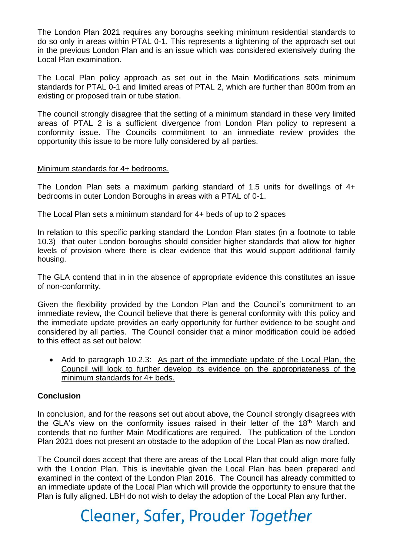The London Plan 2021 requires any boroughs seeking minimum residential standards to do so only in areas within PTAL 0-1. This represents a tightening of the approach set out in the previous London Plan and is an issue which was considered extensively during the Local Plan examination.

The Local Plan policy approach as set out in the Main Modifications sets minimum standards for PTAL 0-1 and limited areas of PTAL 2, which are further than 800m from an existing or proposed train or tube station.

The council strongly disagree that the setting of a minimum standard in these very limited areas of PTAL 2 is a sufficient divergence from London Plan policy to represent a conformity issue. The Councils commitment to an immediate review provides the opportunity this issue to be more fully considered by all parties.

### Minimum standards for 4+ bedrooms.

The London Plan sets a maximum parking standard of 1.5 units for dwellings of 4+ bedrooms in outer London Boroughs in areas with a PTAL of 0-1.

The Local Plan sets a minimum standard for 4+ beds of up to 2 spaces

In relation to this specific parking standard the London Plan states (in a footnote to table 10.3) that outer London boroughs should consider higher standards that allow for higher levels of provision where there is clear evidence that this would support additional family housing.

The GLA contend that in in the absence of appropriate evidence this constitutes an issue of non-conformity.

Given the flexibility provided by the London Plan and the Council's commitment to an immediate review, the Council believe that there is general conformity with this policy and the immediate update provides an early opportunity for further evidence to be sought and considered by all parties. The Council consider that a minor modification could be added to this effect as set out below:

• Add to paragraph 10.2.3: As part of the immediate update of the Local Plan, the Council will look to further develop its evidence on the appropriateness of the minimum standards for 4+ beds.

## **Conclusion**

In conclusion, and for the reasons set out about above, the Council strongly disagrees with the GLA's view on the conformity issues raised in their letter of the  $18<sup>th</sup>$  March and contends that no further Main Modifications are required. The publication of the London Plan 2021 does not present an obstacle to the adoption of the Local Plan as now drafted.

The Council does accept that there are areas of the Local Plan that could align more fully with the London Plan. This is inevitable given the Local Plan has been prepared and examined in the context of the London Plan 2016. The Council has already committed to an immediate update of the Local Plan which will provide the opportunity to ensure that the Plan is fully aligned. LBH do not wish to delay the adoption of the Local Plan any further.